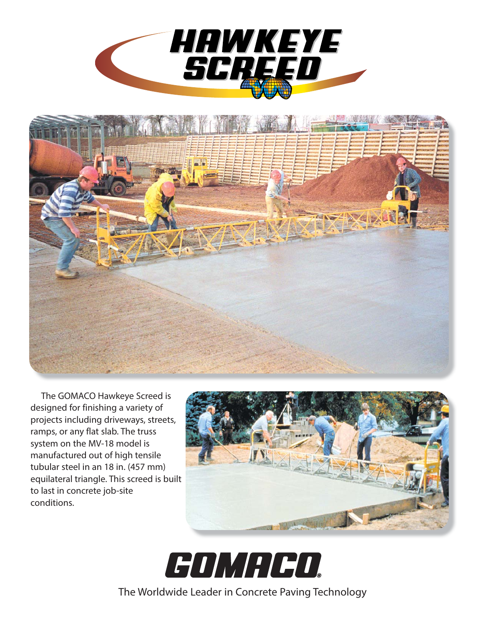



The GOMACO Hawkeye Screed is designed for finishing a variety of projects including driveways, streets, ramps, or any flat slab. The truss system on the MV-18 model is manufactured out of high tensile tubular steel in an 18 in. (457 mm) equilateral triangle. This screed is built to last in concrete job-site conditions.





The Worldwide Leader in Concrete Paving Technology